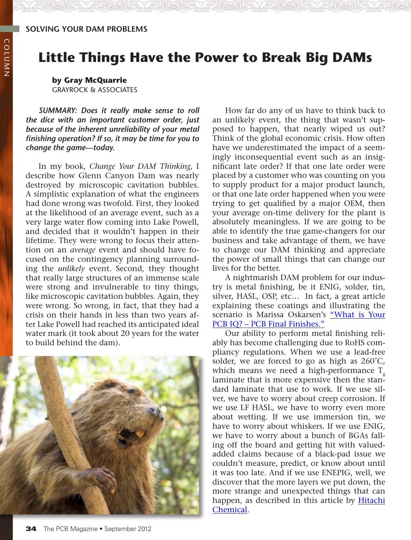## **Little Things Have the Power to Break Big DAMs**

**by Gray McQuarrie** Grayrock & Associates

*Summary: Does it really make sense to roll the dice with an important customer order, just because of the inherent unreliability of your metal finishing operation? If so, it may be time for you to change the game—today.*

In my book, *Change Your DAM Thinking,* I describe how Glenn Canyon Dam was nearly destroyed by microscopic cavitation bubbles. A simplistic explanation of what the engineers had done wrong was twofold. First, they looked at the likelihood of an average event, such as a very large water flow coming into Lake Powell, and decided that it wouldn't happen in their lifetime. They were wrong to focus their attention on an *average* event and should have focused on the contingency planning surrounding the *unlikely* event. Second, they thought that really large structures of an immense scale were strong and invulnerable to tiny things, like microscopic cavitation bubbles. Again, they were wrong. So wrong, in fact, that they had a crisis on their hands in less than two years after Lake Powell had reached its anticipated ideal water mark (it took about 20 years for the water to build behind the dam).



How far do any of us have to think back to an unlikely event, the thing that wasn't supposed to happen, that nearly wiped us out? Think of the global economic crisis. How often have we underestimated the impact of a seemingly inconsequential event such as an insignificant late order? If that one late order were placed by a customer who was counting on you to supply product for a major product launch, or that one late order happened when you were trying to get qualified by a major OEM, then your average on-time delivery for the plant is absolutely meaningless. If we are going to be able to identify the true game-changers for our business and take advantage of them, we have to change our DAM thinking and appreciate the power of small things that can change our lives for the better.

A nightmarish DAM problem for our industry is metal finishing, be it ENIG, solder, tin, silver, HASL, OSP, etc… In fact, a great article explaining these coatings and illustrating the scenario is Marissa Oskarsen's ["What is Your](http://www.pcb007.com/pages/zone.cgi?topic=0&artcatid=0&a=77600&artpg=1&artid=77600&pg=2)  [PCB IQ? – PCB Final Finishes."](http://www.pcb007.com/pages/zone.cgi?topic=0&artcatid=0&a=77600&artpg=1&artid=77600&pg=2)

Our ability to perform metal finishing reliably has become challenging due to RoHS compliancy regulations. When we use a lead-free solder, we are forced to go as high as 260˚C, which means we need a high-performance  $T_{g}$ laminate that is more expensive then the standard laminate that use to work. If we use silver, we have to worry about creep corrosion. If we use LF HASL, we have to worry even more about wetting. If we use immersion tin, we have to worry about whiskers. If we use ENIG, we have to worry about a bunch of BGAs falling off the board and getting hit with valuedadded claims because of a black-pad issue we couldn't measure, predict, or know about until it was too late. And if we use ENEPIG, well, we discover that the more layers we put down, the more strange and unexpected things that can happen, as described in this article by [Hitachi](http://www.pcb007.com/pages/zone.cgi?a=71363&artpg=1&topic=0) [Chemical.](http://www.pcb007.com/pages/zone.cgi?a=71363&artpg=1&topic=0)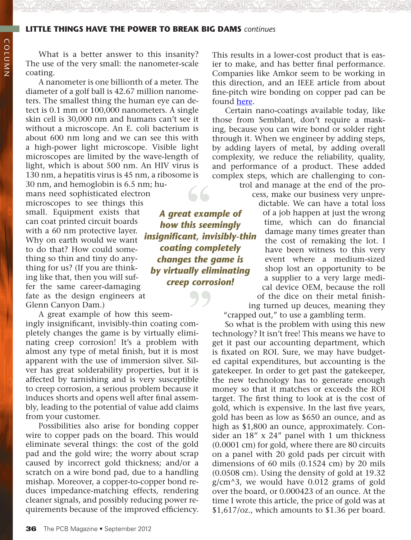## **little things have the power to break big dams** *continues*

What is a better answer to this insanity? The use of the very small: the nanometer-scale coating.

A nanometer is one billionth of a meter. The diameter of a golf ball is 42.67 million nanometers. The smallest thing the human eye can detect is 0.1 mm or 100,000 nanometers. A single skin cell is 30,000 nm and humans can't see it without a microscope. An E. coli bacterium is about 600 nm long and we can see this with a high-power light microscope. Visible light microscopes are limited by the wave-length of light, which is about 500 nm. An HIV virus is 130 nm, a hepatitis virus is 45 nm, a ribosome is

30 nm, and hemoglobin is 6.5 nm; humans need sophisticated electron microscopes to see things this small. Equipment exists that can coat printed circuit boards with a 60 nm protective layer. Why on earth would we want to do that? How could something so thin and tiny do anything for us? (If you are thinking like that, then you will suffer the same career-damaging fate as the design engineers at Glenn Canyon Dam.)

A great example of how this seemingly insignificant, invisibly-thin coating completely changes the game is by virtually eliminating creep corrosion! It's a problem with almost any type of metal finish, but it is most apparent with the use of immersion silver. Silver has great solderability properties, but it is affected by tarnishing and is very susceptible to creep corrosion, a serious problem because it induces shorts and opens well after final assembly, leading to the potential of value add claims from your customer. **99**<br>m-<br>ni-

Possibilities also arise for bonding copper wire to copper pads on the board. This would eliminate several things: the cost of the gold pad and the gold wire; the worry about scrap caused by incorrect gold thickness; and/or a scratch on a wire bond pad, due to a handling mishap. Moreover, a copper-to-copper bond reduces impedance-matching effects, rendering cleaner signals, and possibly reducing power requirements because of the improved efficiency.

*A great example of how this seemingly insignificant, invisibly-thin coating completely changes the game is by virtually eliminating creep corrosion!* **66**<br>It exal<br>his see

This results in a lower-cost product that is easier to make, and has better final performance. Companies like Amkor seem to be working in this direction, and an IEEE article from about fine-pitch wire bonding on copper pad can be found [here.](http://ieeexplore.ieee.org/xpl/login.jsp?tp=&arnumber=1188814&url=http%3A%2F%2Fieeexplore.ieee.org%2Fxpls%2Fabs_all.jsp%3Farnumber%3D1188814)

Certain nano-coatings available today, like those from Semblant, don't require a masking, because you can wire bond or solder right through it. When we engineer by adding steps, by adding layers of metal, by adding overall complexity, we reduce the reliability, quality, and performance of a product. These added complex steps, which are challenging to con-

> trol and manage at the end of the process, make our business very unpredictable. We can have a total loss of a job happen at just the wrong time, which can do financial damage many times greater than the cost of remaking the lot. I have been witness to this very event where a medium-sized shop lost an opportunity to be a supplier to a very large medical device OEM, because the roll of the dice on their metal finishing turned up deuces, meaning they

"crapped out," to use a gambling term. So what is the problem with using this new

technology? It isn't free! This means we have to get it past our accounting department, which is fixated on ROI. Sure, we may have budgeted capital expenditures, but accounting is the gatekeeper. In order to get past the gatekeeper, the new technology has to generate enough money so that it matches or exceeds the ROI target. The first thing to look at is the cost of gold, which is expensive. In the last five years, gold has been as low as \$650 an ounce, and as high as \$1,800 an ounce, approximately. Consider an 18" x 24" panel with 1 um thickness (0.0001 cm) for gold, where there are 80 circuits on a panel with 20 gold pads per circuit with dimensions of 60 mils (0.1524 cm) by 20 mils (0.0508 cm). Using the density of gold at 19.32 g/cm^3, we would have 0.012 grams of gold over the board, or 0.000423 of an ounce. At the time I wrote this article, the price of gold was at \$1,617/oz., which amounts to \$1.36 per board.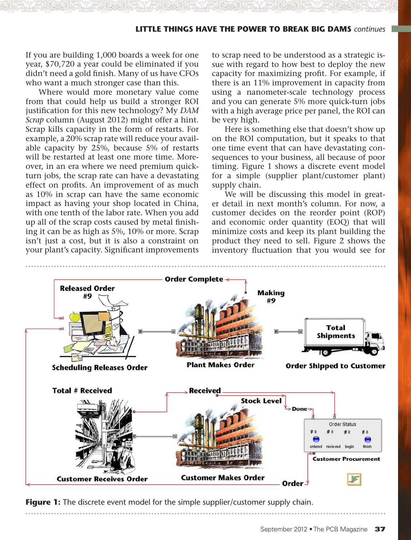## **little things have the power to break big dams** *continues*

If you are building 1,000 boards a week for one year, \$70,720 a year could be eliminated if you didn't need a gold finish. Many of us have CFOs who want a much stronger case than this.

Where would more monetary value come from that could help us build a stronger ROI justification for this new technology? My *DAM Scrap* column (August 2012) might offer a hint. Scrap kills capacity in the form of restarts. For example, a 20% scrap rate will reduce your available capacity by 25%, because 5% of restarts will be restarted at least one more time. Moreover, in an era where we need premium quickturn jobs, the scrap rate can have a devastating effect on profits. An improvement of as much as 10% in scrap can have the same economic impact as having your shop located in China, with one tenth of the labor rate. When you add up all of the scrap costs caused by metal finishing it can be as high as 5%, 10% or more. Scrap isn't just a cost, but it is also a constraint on your plant's capacity. Significant improvements

to scrap need to be understood as a strategic issue with regard to how best to deploy the new capacity for maximizing profit. For example, if there is an 11% improvement in capacity from using a nanometer-scale technology process and you can generate 5% more quick-turn jobs with a high average price per panel, the ROI can be very high.

Here is something else that doesn't show up on the ROI computation, but it speaks to that one time event that can have devastating consequences to your business, all because of poor timing. Figure 1 shows a discrete event model for a simple (supplier plant/customer plant) supply chain.

We will be discussing this model in greater detail in next month's column. For now, a customer decides on the reorder point (ROP) and economic order quantity (EOQ) that will minimize costs and keep its plant building the product they need to sell. Figure 2 shows the inventory fluctuation that you would see for



**Figure 1:** The discrete event model for the simple supplier/customer supply chain.

September 2012 • The PCB Magazine 37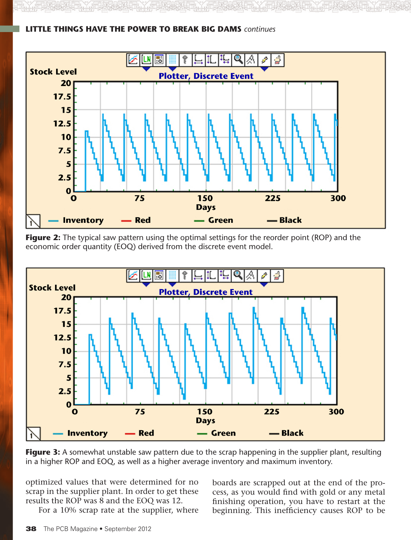

**little things have the power to break big dams** *continues*

**Figure 2:** The typical saw pattern using the optimal settings for the reorder point (ROP) and the economic order quantity (EOQ) derived from the discrete event model.



**Figure 3:** A somewhat unstable saw pattern due to the scrap happening in the supplier plant, resulting in a higher ROP and EOQ, as well as a higher average inventory and maximum inventory.

optimized values that were determined for no scrap in the supplier plant. In order to get these results the ROP was 8 and the EOQ was 12.

For a 10% scrap rate at the supplier, where

boards are scrapped out at the end of the process, as you would find with gold or any metal finishing operation, you have to restart at the beginning. This inefficiency causes ROP to be